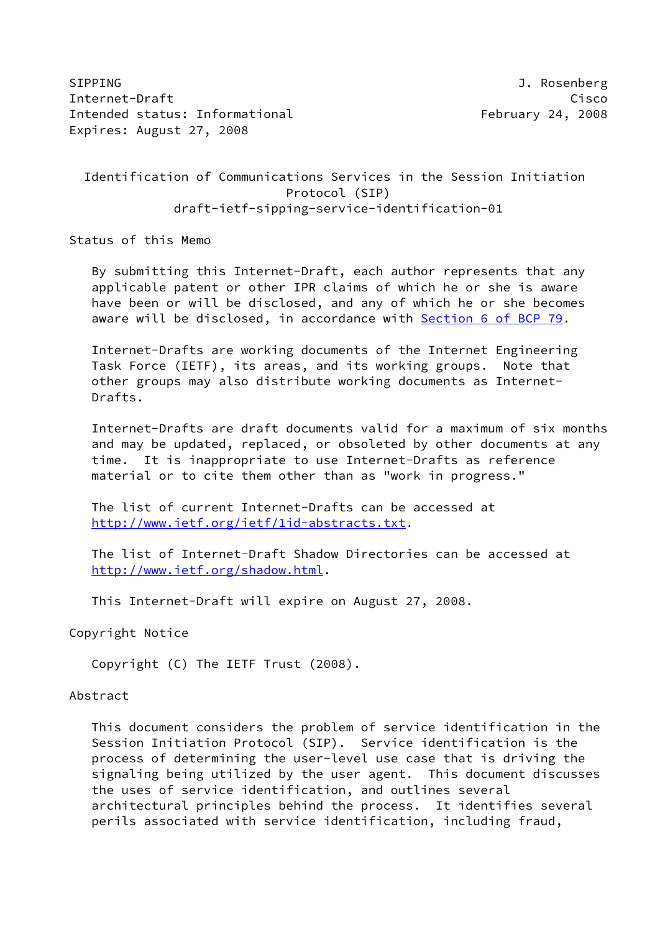SIPPING J. Rosenberg Internet-Draft Cisco Intended status: Informational February 24, 2008 Expires: August 27, 2008

 Identification of Communications Services in the Session Initiation Protocol (SIP) draft-ietf-sipping-service-identification-01

Status of this Memo

 By submitting this Internet-Draft, each author represents that any applicable patent or other IPR claims of which he or she is aware have been or will be disclosed, and any of which he or she becomes aware will be disclosed, in accordance with Section [6 of BCP 79.](https://datatracker.ietf.org/doc/pdf/bcp79#section-6)

 Internet-Drafts are working documents of the Internet Engineering Task Force (IETF), its areas, and its working groups. Note that other groups may also distribute working documents as Internet- Drafts.

 Internet-Drafts are draft documents valid for a maximum of six months and may be updated, replaced, or obsoleted by other documents at any time. It is inappropriate to use Internet-Drafts as reference material or to cite them other than as "work in progress."

 The list of current Internet-Drafts can be accessed at <http://www.ietf.org/ietf/1id-abstracts.txt>.

 The list of Internet-Draft Shadow Directories can be accessed at <http://www.ietf.org/shadow.html>.

This Internet-Draft will expire on August 27, 2008.

Copyright Notice

Copyright (C) The IETF Trust (2008).

### Abstract

 This document considers the problem of service identification in the Session Initiation Protocol (SIP). Service identification is the process of determining the user-level use case that is driving the signaling being utilized by the user agent. This document discusses the uses of service identification, and outlines several architectural principles behind the process. It identifies several perils associated with service identification, including fraud,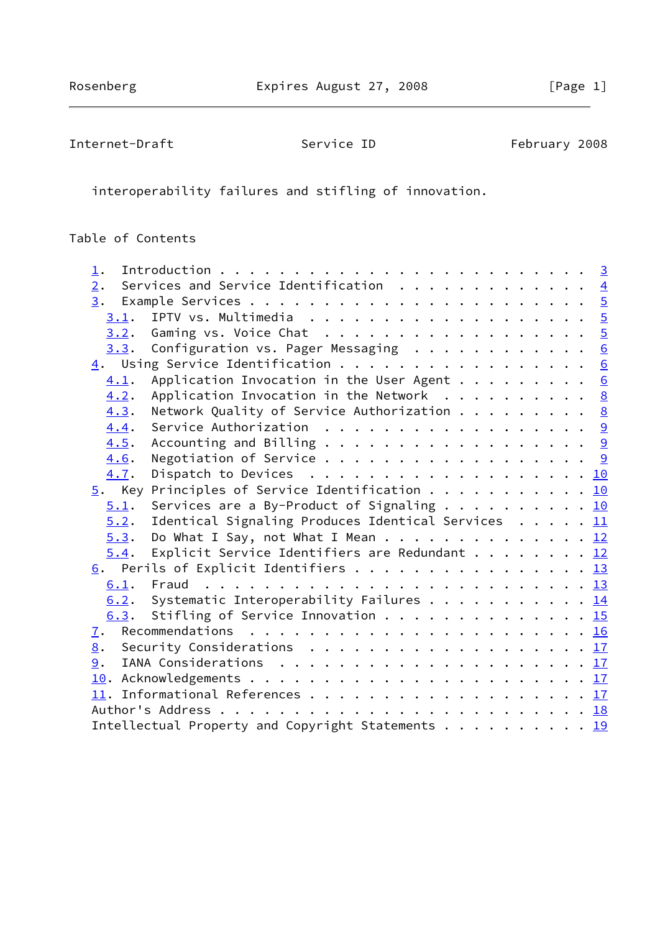Internet-Draft Service ID February 2008

interoperability failures and stifling of innovation.

# Table of Contents

| $\perp$ .                                                                                     |  |  |
|-----------------------------------------------------------------------------------------------|--|--|
| Services and Service Identification $\cdots$ 4<br>2.                                          |  |  |
|                                                                                               |  |  |
| 3.1.                                                                                          |  |  |
| Gaming vs. Voice Chat 5<br>3.2.                                                               |  |  |
| Configuration vs. Pager Messaging 6<br>3.3.                                                   |  |  |
| 4. Using Service Identification 6                                                             |  |  |
| Application Invocation in the User Agent $\underline{6}$<br>4.1.                              |  |  |
| Application Invocation in the Network $\ldots \ldots \ldots$<br>4.2.                          |  |  |
| Network Quality of Service Authorization $\cdots$ 8<br>4.3.                                   |  |  |
| Service Authorization $\ldots$ 9<br>4.4.                                                      |  |  |
| 4.5.                                                                                          |  |  |
| Negotiation of Service 9<br>4.6.                                                              |  |  |
| 4.7.                                                                                          |  |  |
| $\underline{5}$ . Key Principles of Service Identification 10                                 |  |  |
| Services are a By-Product of Signaling 10<br>5.1.                                             |  |  |
| 5.2.<br>Identical Signaling Produces Identical Services $\ldots$ , $\underline{11}$           |  |  |
| Do What I Say, not What I Mean 12<br>5.3.                                                     |  |  |
| Explicit Service Identifiers are Redundant 12<br>5.4.                                         |  |  |
| $\underline{6}$ . Perils of Explicit Identifiers 13                                           |  |  |
|                                                                                               |  |  |
| 6.2. Systematic Interoperability Failures 14                                                  |  |  |
| 6.3. Stifling of Service Innovation 15                                                        |  |  |
| 7.                                                                                            |  |  |
| Security Considerations $\ldots \ldots \ldots \ldots \ldots \ldots \ldots \frac{17}{2}$<br>8. |  |  |
| 9.                                                                                            |  |  |
|                                                                                               |  |  |
|                                                                                               |  |  |
|                                                                                               |  |  |
| Intellectual Property and Copyright Statements 19                                             |  |  |
|                                                                                               |  |  |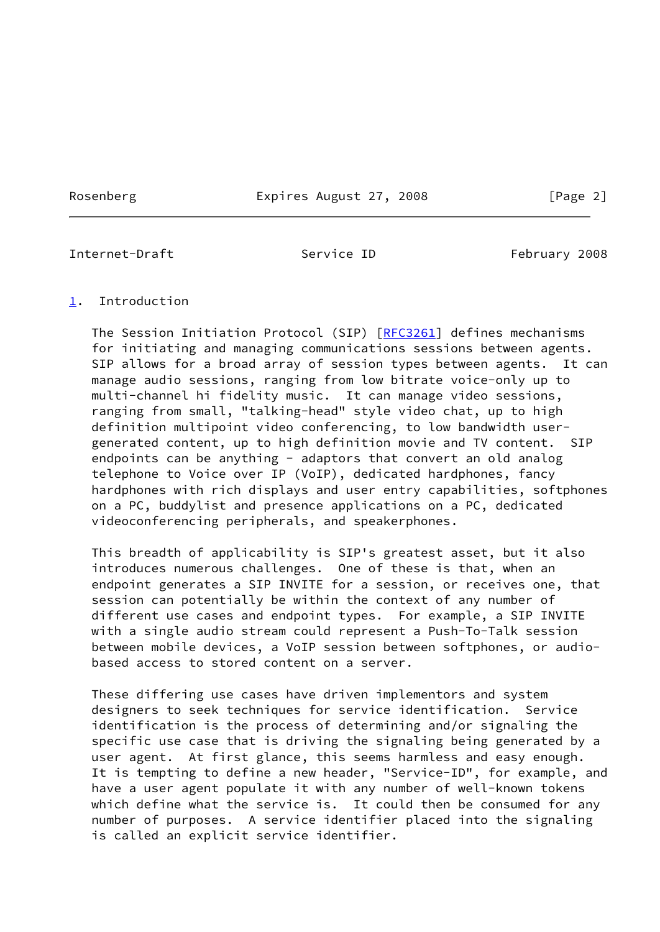Rosenberg Expires August 27, 2008 [Page 2]

<span id="page-2-1"></span>Internet-Draft Service ID February 2008

### <span id="page-2-0"></span>[1](#page-2-0). Introduction

 The Session Initiation Protocol (SIP) [[RFC3261](https://datatracker.ietf.org/doc/pdf/rfc3261)] defines mechanisms for initiating and managing communications sessions between agents. SIP allows for a broad array of session types between agents. It can manage audio sessions, ranging from low bitrate voice-only up to multi-channel hi fidelity music. It can manage video sessions, ranging from small, "talking-head" style video chat, up to high definition multipoint video conferencing, to low bandwidth user generated content, up to high definition movie and TV content. SIP endpoints can be anything - adaptors that convert an old analog telephone to Voice over IP (VoIP), dedicated hardphones, fancy hardphones with rich displays and user entry capabilities, softphones on a PC, buddylist and presence applications on a PC, dedicated videoconferencing peripherals, and speakerphones.

 This breadth of applicability is SIP's greatest asset, but it also introduces numerous challenges. One of these is that, when an endpoint generates a SIP INVITE for a session, or receives one, that session can potentially be within the context of any number of different use cases and endpoint types. For example, a SIP INVITE with a single audio stream could represent a Push-To-Talk session between mobile devices, a VoIP session between softphones, or audio based access to stored content on a server.

 These differing use cases have driven implementors and system designers to seek techniques for service identification. Service identification is the process of determining and/or signaling the specific use case that is driving the signaling being generated by a user agent. At first glance, this seems harmless and easy enough. It is tempting to define a new header, "Service-ID", for example, and have a user agent populate it with any number of well-known tokens which define what the service is. It could then be consumed for any number of purposes. A service identifier placed into the signaling is called an explicit service identifier.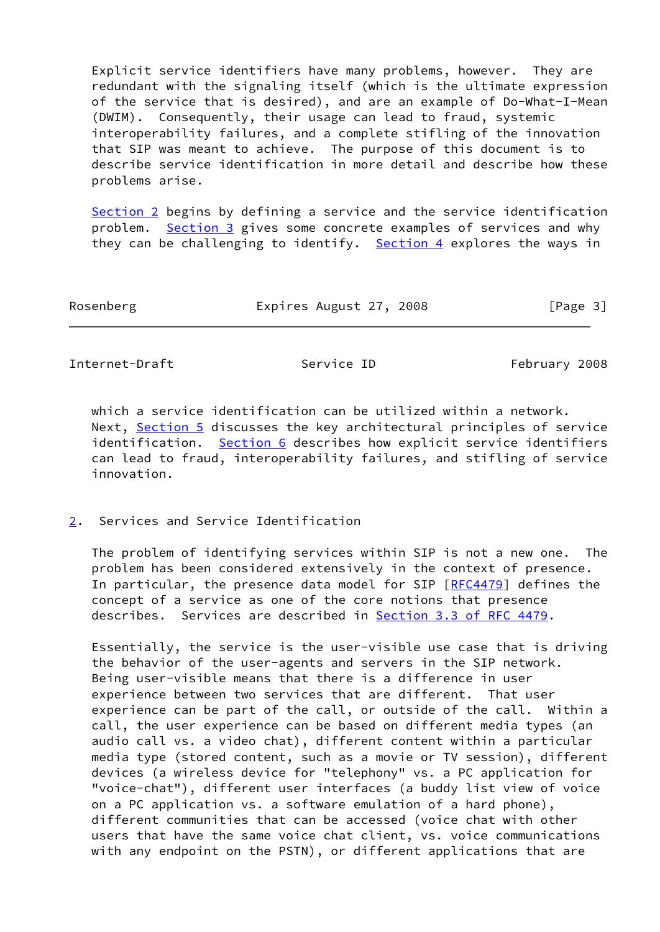Explicit service identifiers have many problems, however. They are redundant with the signaling itself (which is the ultimate expression of the service that is desired), and are an example of Do-What-I-Mean (DWIM). Consequently, their usage can lead to fraud, systemic interoperability failures, and a complete stifling of the innovation that SIP was meant to achieve. The purpose of this document is to describe service identification in more detail and describe how these problems arise.

[Section 2](#page-3-0) begins by defining a service and the service identification problem. [Section 3](#page-4-0) gives some concrete examples of services and why they can be challenging to identify. [Section 4](#page-6-0) explores the ways in

| Rosenberg | Expires August 27, 2008 |  |  |  | [Page 3] |
|-----------|-------------------------|--|--|--|----------|
|-----------|-------------------------|--|--|--|----------|

<span id="page-3-1"></span>Internet-Draft Service ID February 2008

 which a service identification can be utilized within a network. Next, [Section 5](#page-10-2) discusses the key architectural principles of service identification. [Section 6](#page-13-1) describes how explicit service identifiers can lead to fraud, interoperability failures, and stifling of service innovation.

<span id="page-3-0"></span>[2](#page-3-0). Services and Service Identification

 The problem of identifying services within SIP is not a new one. The problem has been considered extensively in the context of presence. In particular, the presence data model for SIP  $[REC4479]$  defines the concept of a service as one of the core notions that presence describes. Services are described in Section [3.3 of RFC 4479](https://datatracker.ietf.org/doc/pdf/rfc4479#section-3.3).

 Essentially, the service is the user-visible use case that is driving the behavior of the user-agents and servers in the SIP network. Being user-visible means that there is a difference in user experience between two services that are different. That user experience can be part of the call, or outside of the call. Within a call, the user experience can be based on different media types (an audio call vs. a video chat), different content within a particular media type (stored content, such as a movie or TV session), different devices (a wireless device for "telephony" vs. a PC application for "voice-chat"), different user interfaces (a buddy list view of voice on a PC application vs. a software emulation of a hard phone), different communities that can be accessed (voice chat with other users that have the same voice chat client, vs. voice communications with any endpoint on the PSTN), or different applications that are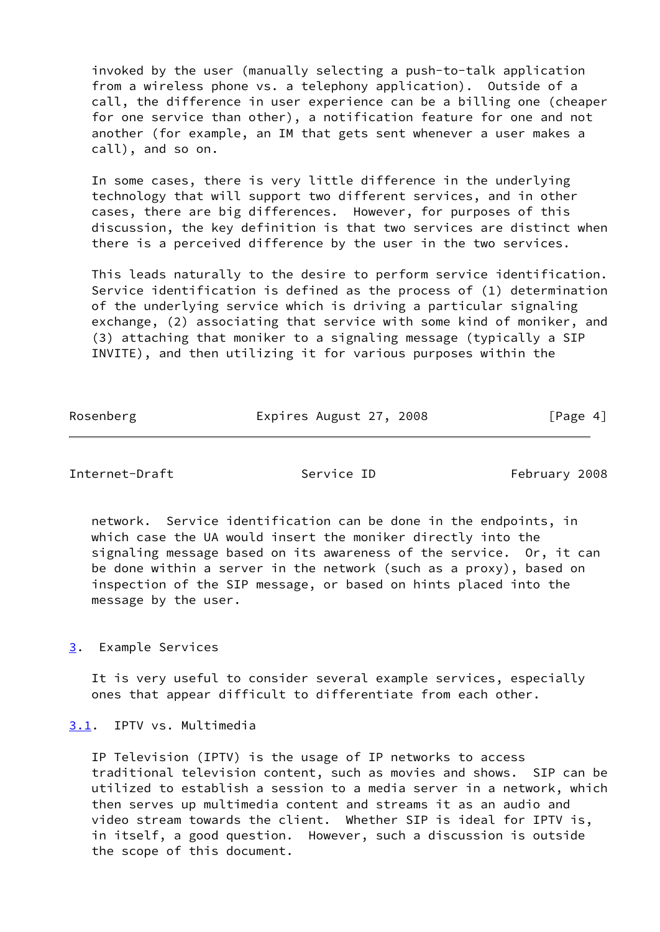invoked by the user (manually selecting a push-to-talk application from a wireless phone vs. a telephony application). Outside of a call, the difference in user experience can be a billing one (cheaper for one service than other), a notification feature for one and not another (for example, an IM that gets sent whenever a user makes a call), and so on.

 In some cases, there is very little difference in the underlying technology that will support two different services, and in other cases, there are big differences. However, for purposes of this discussion, the key definition is that two services are distinct when there is a perceived difference by the user in the two services.

 This leads naturally to the desire to perform service identification. Service identification is defined as the process of (1) determination of the underlying service which is driving a particular signaling exchange, (2) associating that service with some kind of moniker, and (3) attaching that moniker to a signaling message (typically a SIP INVITE), and then utilizing it for various purposes within the

| Rosenberg | Expires August 27, 2008 | [Page 4] |
|-----------|-------------------------|----------|
|           |                         |          |

### <span id="page-4-1"></span>Internet-Draft Service ID February 2008

 network. Service identification can be done in the endpoints, in which case the UA would insert the moniker directly into the signaling message based on its awareness of the service. Or, it can be done within a server in the network (such as a proxy), based on inspection of the SIP message, or based on hints placed into the message by the user.

<span id="page-4-0"></span>[3](#page-4-0). Example Services

 It is very useful to consider several example services, especially ones that appear difficult to differentiate from each other.

<span id="page-4-2"></span>[3.1](#page-4-2). IPTV vs. Multimedia

 IP Television (IPTV) is the usage of IP networks to access traditional television content, such as movies and shows. SIP can be utilized to establish a session to a media server in a network, which then serves up multimedia content and streams it as an audio and video stream towards the client. Whether SIP is ideal for IPTV is, in itself, a good question. However, such a discussion is outside the scope of this document.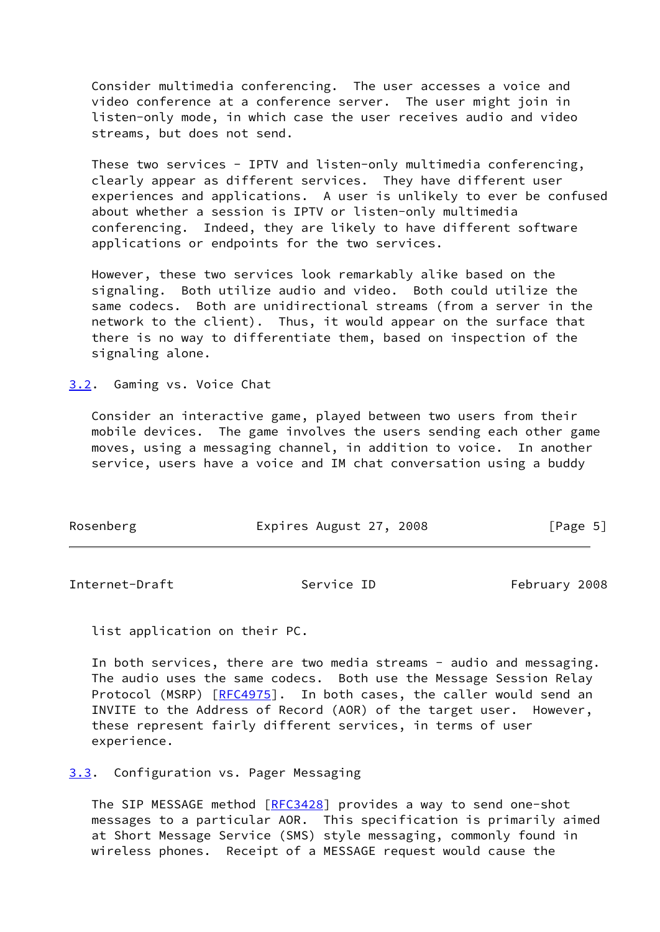Consider multimedia conferencing. The user accesses a voice and video conference at a conference server. The user might join in listen-only mode, in which case the user receives audio and video streams, but does not send.

These two services - IPTV and listen-only multimedia conferencing, clearly appear as different services. They have different user experiences and applications. A user is unlikely to ever be confused about whether a session is IPTV or listen-only multimedia conferencing. Indeed, they are likely to have different software applications or endpoints for the two services.

 However, these two services look remarkably alike based on the signaling. Both utilize audio and video. Both could utilize the same codecs. Both are unidirectional streams (from a server in the network to the client). Thus, it would appear on the surface that there is no way to differentiate them, based on inspection of the signaling alone.

<span id="page-5-0"></span>[3.2](#page-5-0). Gaming vs. Voice Chat

 Consider an interactive game, played between two users from their mobile devices. The game involves the users sending each other game moves, using a messaging channel, in addition to voice. In another service, users have a voice and IM chat conversation using a buddy

| Rosenberg | Expires August 27, 2008 | [Page 5] |
|-----------|-------------------------|----------|
|           |                         |          |

<span id="page-5-2"></span>Internet-Draft Service ID February 2008

list application on their PC.

In both services, there are two media streams - audio and messaging. The audio uses the same codecs. Both use the Message Session Relay Protocol (MSRP) [\[RFC4975](https://datatracker.ietf.org/doc/pdf/rfc4975)]. In both cases, the caller would send an INVITE to the Address of Record (AOR) of the target user. However, these represent fairly different services, in terms of user experience.

<span id="page-5-1"></span>[3.3](#page-5-1). Configuration vs. Pager Messaging

The SIP MESSAGE method [\[RFC3428](https://datatracker.ietf.org/doc/pdf/rfc3428)] provides a way to send one-shot messages to a particular AOR. This specification is primarily aimed at Short Message Service (SMS) style messaging, commonly found in wireless phones. Receipt of a MESSAGE request would cause the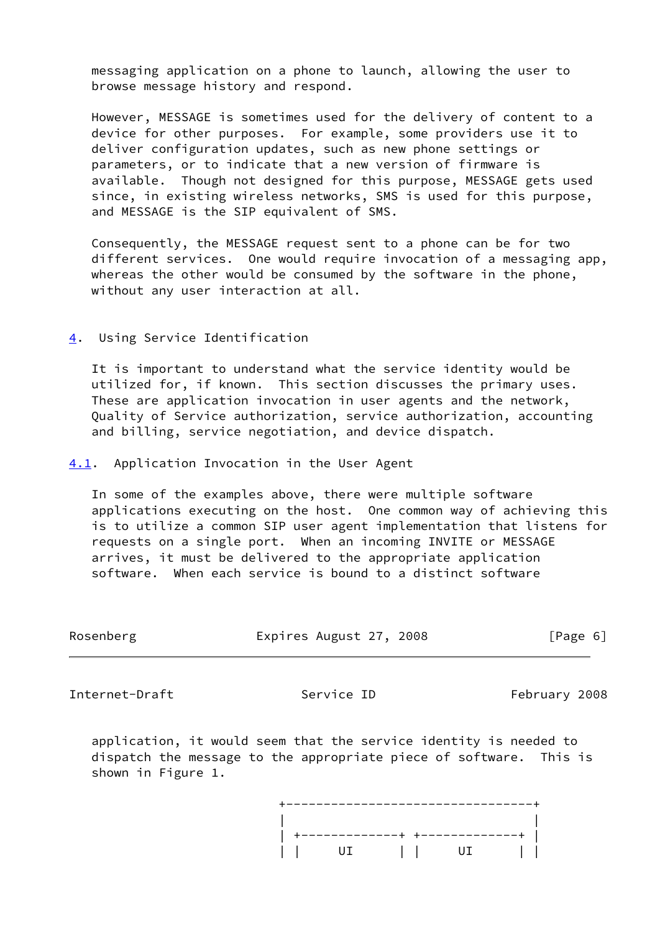messaging application on a phone to launch, allowing the user to browse message history and respond.

 However, MESSAGE is sometimes used for the delivery of content to a device for other purposes. For example, some providers use it to deliver configuration updates, such as new phone settings or parameters, or to indicate that a new version of firmware is available. Though not designed for this purpose, MESSAGE gets used since, in existing wireless networks, SMS is used for this purpose, and MESSAGE is the SIP equivalent of SMS.

 Consequently, the MESSAGE request sent to a phone can be for two different services. One would require invocation of a messaging app, whereas the other would be consumed by the software in the phone, without any user interaction at all.

### <span id="page-6-0"></span>[4](#page-6-0). Using Service Identification

 It is important to understand what the service identity would be utilized for, if known. This section discusses the primary uses. These are application invocation in user agents and the network, Quality of Service authorization, service authorization, accounting and billing, service negotiation, and device dispatch.

<span id="page-6-1"></span>[4.1](#page-6-1). Application Invocation in the User Agent

 In some of the examples above, there were multiple software applications executing on the host. One common way of achieving this is to utilize a common SIP user agent implementation that listens for requests on a single port. When an incoming INVITE or MESSAGE arrives, it must be delivered to the appropriate application software. When each service is bound to a distinct software

| Rosenberg | Expires August 27, 2008 | [Page 6] |
|-----------|-------------------------|----------|
|           |                         |          |

Internet-Draft Service ID February 2008

 application, it would seem that the service identity is needed to dispatch the message to the appropriate piece of software. This is shown in Figure 1.

 +---------------------------------+ | | | +-------------+ +-------------+ | | | UI | | UI | |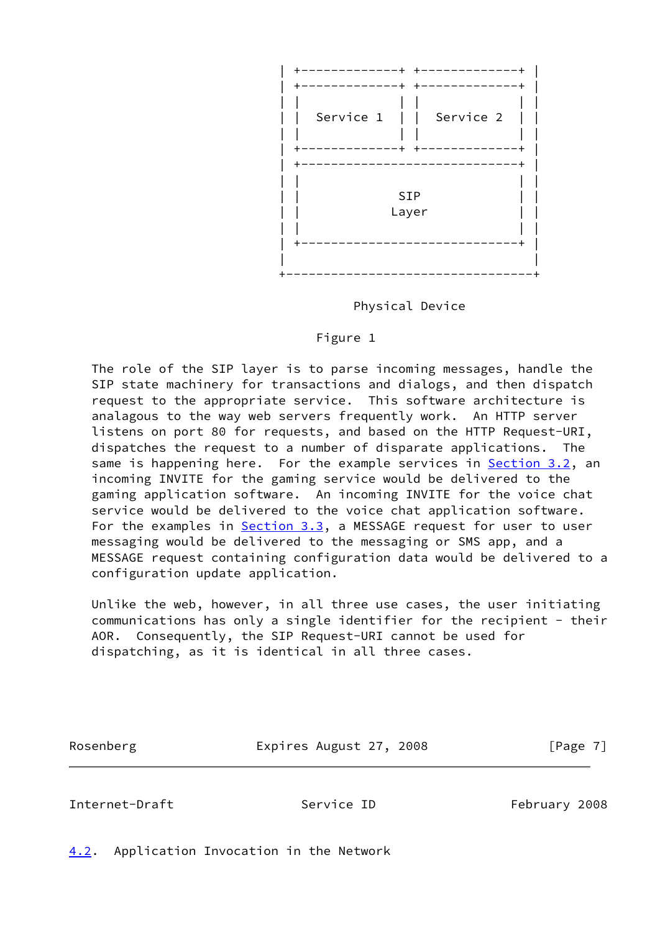

Physical Device

### Figure 1

 The role of the SIP layer is to parse incoming messages, handle the SIP state machinery for transactions and dialogs, and then dispatch request to the appropriate service. This software architecture is analagous to the way web servers frequently work. An HTTP server listens on port 80 for requests, and based on the HTTP Request-URI, dispatches the request to a number of disparate applications. The same is happening here. For the example services in **Section 3.2**, an incoming INVITE for the gaming service would be delivered to the gaming application software. An incoming INVITE for the voice chat service would be delivered to the voice chat application software. For the examples in [Section 3.3,](#page-5-1) a MESSAGE request for user to user messaging would be delivered to the messaging or SMS app, and a MESSAGE request containing configuration data would be delivered to a configuration update application.

 Unlike the web, however, in all three use cases, the user initiating communications has only a single identifier for the recipient - their AOR. Consequently, the SIP Request-URI cannot be used for dispatching, as it is identical in all three cases.

Rosenberg Expires August 27, 2008 [Page 7]

### <span id="page-7-1"></span>Internet-Draft Service ID February 2008

<span id="page-7-0"></span>[4.2](#page-7-0). Application Invocation in the Network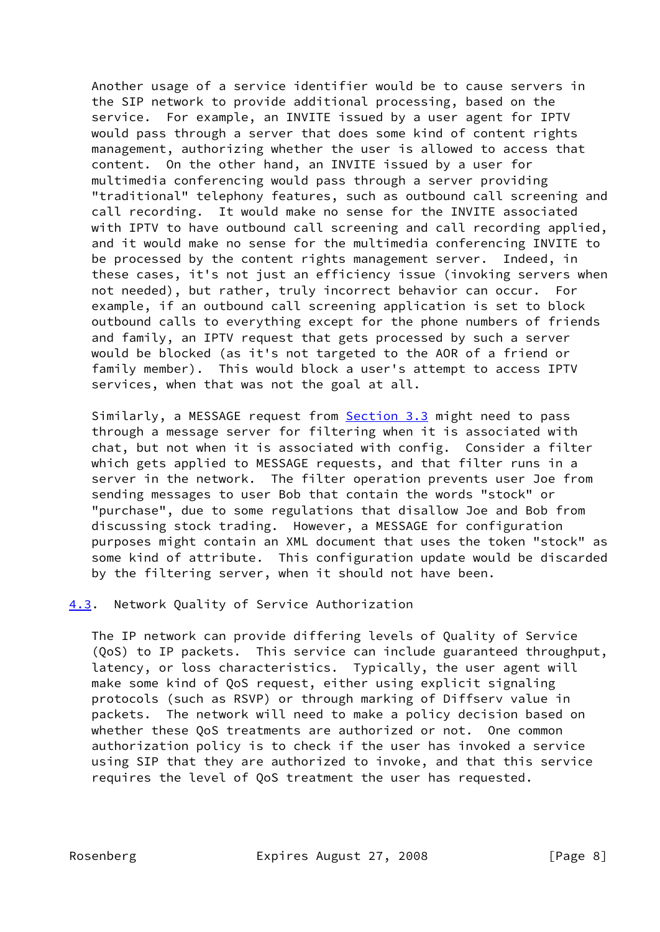Another usage of a service identifier would be to cause servers in the SIP network to provide additional processing, based on the service. For example, an INVITE issued by a user agent for IPTV would pass through a server that does some kind of content rights management, authorizing whether the user is allowed to access that content. On the other hand, an INVITE issued by a user for multimedia conferencing would pass through a server providing "traditional" telephony features, such as outbound call screening and call recording. It would make no sense for the INVITE associated with IPTV to have outbound call screening and call recording applied, and it would make no sense for the multimedia conferencing INVITE to be processed by the content rights management server. Indeed, in these cases, it's not just an efficiency issue (invoking servers when not needed), but rather, truly incorrect behavior can occur. For example, if an outbound call screening application is set to block outbound calls to everything except for the phone numbers of friends and family, an IPTV request that gets processed by such a server would be blocked (as it's not targeted to the AOR of a friend or family member). This would block a user's attempt to access IPTV services, when that was not the goal at all.

Similarly, a MESSAGE request from **Section 3.3** might need to pass through a message server for filtering when it is associated with chat, but not when it is associated with config. Consider a filter which gets applied to MESSAGE requests, and that filter runs in a server in the network. The filter operation prevents user Joe from sending messages to user Bob that contain the words "stock" or "purchase", due to some regulations that disallow Joe and Bob from discussing stock trading. However, a MESSAGE for configuration purposes might contain an XML document that uses the token "stock" as some kind of attribute. This configuration update would be discarded by the filtering server, when it should not have been.

<span id="page-8-0"></span>[4.3](#page-8-0). Network Quality of Service Authorization

 The IP network can provide differing levels of Quality of Service (QoS) to IP packets. This service can include guaranteed throughput, latency, or loss characteristics. Typically, the user agent will make some kind of QoS request, either using explicit signaling protocols (such as RSVP) or through marking of Diffserv value in packets. The network will need to make a policy decision based on whether these QoS treatments are authorized or not. One common authorization policy is to check if the user has invoked a service using SIP that they are authorized to invoke, and that this service requires the level of QoS treatment the user has requested.

Rosenberg Expires August 27, 2008 [Page 8]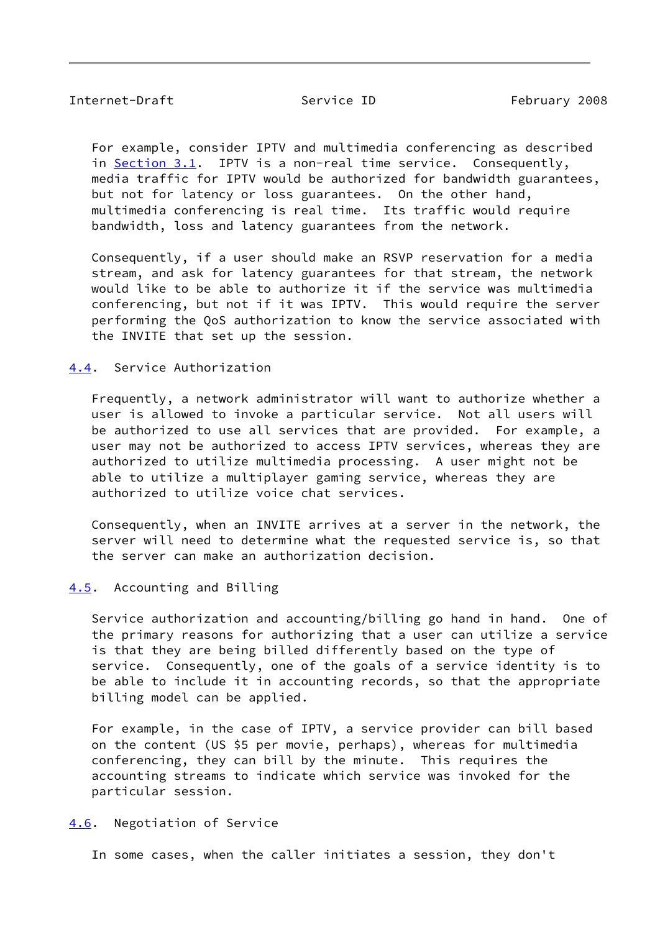<span id="page-9-1"></span> For example, consider IPTV and multimedia conferencing as described in [Section 3.1](#page-4-2). IPTV is a non-real time service. Consequently, media traffic for IPTV would be authorized for bandwidth guarantees, but not for latency or loss guarantees. On the other hand, multimedia conferencing is real time. Its traffic would require bandwidth, loss and latency guarantees from the network.

 Consequently, if a user should make an RSVP reservation for a media stream, and ask for latency guarantees for that stream, the network would like to be able to authorize it if the service was multimedia conferencing, but not if it was IPTV. This would require the server performing the QoS authorization to know the service associated with the INVITE that set up the session.

## <span id="page-9-0"></span>[4.4](#page-9-0). Service Authorization

 Frequently, a network administrator will want to authorize whether a user is allowed to invoke a particular service. Not all users will be authorized to use all services that are provided. For example, a user may not be authorized to access IPTV services, whereas they are authorized to utilize multimedia processing. A user might not be able to utilize a multiplayer gaming service, whereas they are authorized to utilize voice chat services.

 Consequently, when an INVITE arrives at a server in the network, the server will need to determine what the requested service is, so that the server can make an authorization decision.

## <span id="page-9-2"></span>[4.5](#page-9-2). Accounting and Billing

 Service authorization and accounting/billing go hand in hand. One of the primary reasons for authorizing that a user can utilize a service is that they are being billed differently based on the type of service. Consequently, one of the goals of a service identity is to be able to include it in accounting records, so that the appropriate billing model can be applied.

 For example, in the case of IPTV, a service provider can bill based on the content (US \$5 per movie, perhaps), whereas for multimedia conferencing, they can bill by the minute. This requires the accounting streams to indicate which service was invoked for the particular session.

### <span id="page-9-3"></span>[4.6](#page-9-3). Negotiation of Service

In some cases, when the caller initiates a session, they don't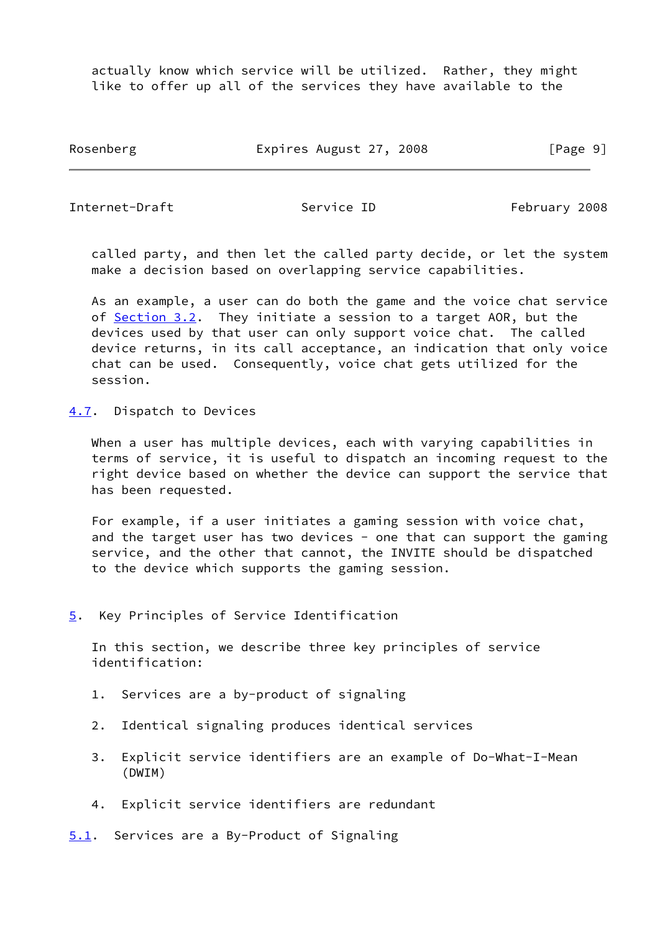actually know which service will be utilized. Rather, they might like to offer up all of the services they have available to the

Rosenberg Expires August 27, 2008 [Page 9]

<span id="page-10-1"></span>Internet-Draft Service ID February 2008

 called party, and then let the called party decide, or let the system make a decision based on overlapping service capabilities.

 As an example, a user can do both the game and the voice chat service of [Section 3.2](#page-5-0). They initiate a session to a target AOR, but the devices used by that user can only support voice chat. The called device returns, in its call acceptance, an indication that only voice chat can be used. Consequently, voice chat gets utilized for the session.

<span id="page-10-0"></span>[4.7](#page-10-0). Dispatch to Devices

 When a user has multiple devices, each with varying capabilities in terms of service, it is useful to dispatch an incoming request to the right device based on whether the device can support the service that has been requested.

 For example, if a user initiates a gaming session with voice chat, and the target user has two devices - one that can support the gaming service, and the other that cannot, the INVITE should be dispatched to the device which supports the gaming session.

<span id="page-10-2"></span>[5](#page-10-2). Key Principles of Service Identification

 In this section, we describe three key principles of service identification:

- 1. Services are a by-product of signaling
- 2. Identical signaling produces identical services
- 3. Explicit service identifiers are an example of Do-What-I-Mean (DWIM)
- 4. Explicit service identifiers are redundant

<span id="page-10-3"></span>[5.1](#page-10-3). Services are a By-Product of Signaling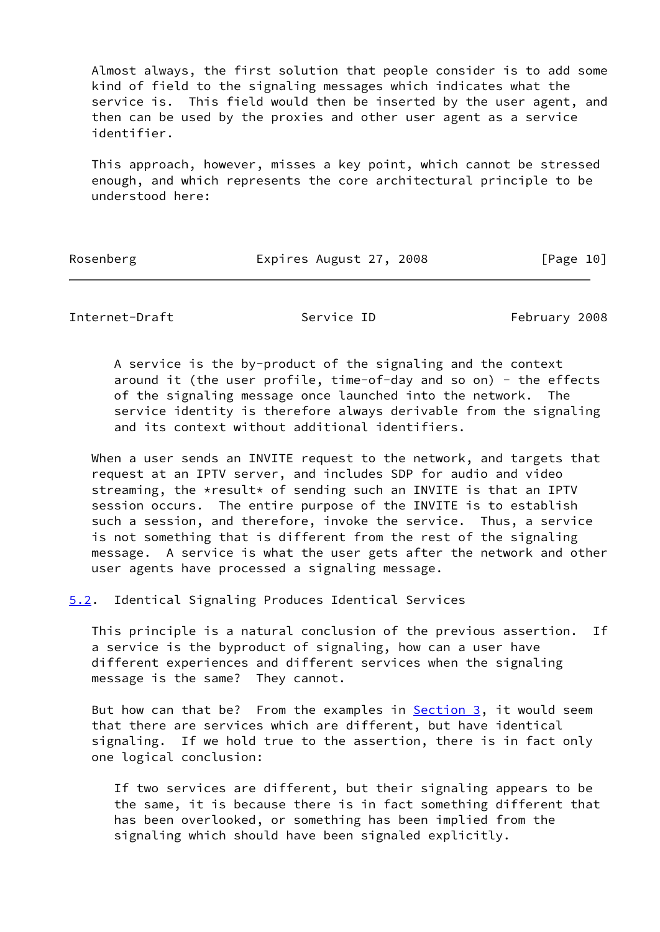Almost always, the first solution that people consider is to add some kind of field to the signaling messages which indicates what the service is. This field would then be inserted by the user agent, and then can be used by the proxies and other user agent as a service identifier.

 This approach, however, misses a key point, which cannot be stressed enough, and which represents the core architectural principle to be understood here:

Rosenberg Expires August 27, 2008 [Page 10]

<span id="page-11-1"></span>Internet-Draft Service ID February 2008

 A service is the by-product of the signaling and the context around it (the user profile, time-of-day and so on) - the effects of the signaling message once launched into the network. The service identity is therefore always derivable from the signaling and its context without additional identifiers.

 When a user sends an INVITE request to the network, and targets that request at an IPTV server, and includes SDP for audio and video streaming, the \*result\* of sending such an INVITE is that an IPTV session occurs. The entire purpose of the INVITE is to establish such a session, and therefore, invoke the service. Thus, a service is not something that is different from the rest of the signaling message. A service is what the user gets after the network and other user agents have processed a signaling message.

<span id="page-11-0"></span>[5.2](#page-11-0). Identical Signaling Produces Identical Services

 This principle is a natural conclusion of the previous assertion. If a service is the byproduct of signaling, how can a user have different experiences and different services when the signaling message is the same? They cannot.

But how can that be? From the examples in **Section 3**, it would seem that there are services which are different, but have identical signaling. If we hold true to the assertion, there is in fact only one logical conclusion:

 If two services are different, but their signaling appears to be the same, it is because there is in fact something different that has been overlooked, or something has been implied from the signaling which should have been signaled explicitly.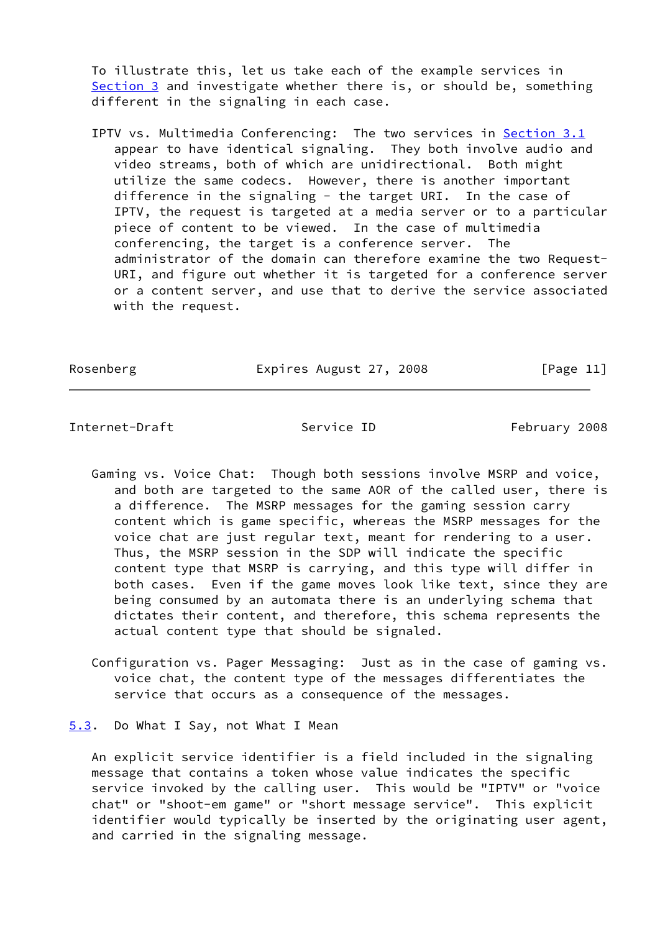To illustrate this, let us take each of the example services in [Section 3](#page-4-0) and investigate whether there is, or should be, something different in the signaling in each case.

IPTV vs. Multimedia Conferencing: The two services in [Section 3.1](#page-4-2) appear to have identical signaling. They both involve audio and video streams, both of which are unidirectional. Both might utilize the same codecs. However, there is another important difference in the signaling - the target URI. In the case of IPTV, the request is targeted at a media server or to a particular piece of content to be viewed. In the case of multimedia conferencing, the target is a conference server. The administrator of the domain can therefore examine the two Request- URI, and figure out whether it is targeted for a conference server or a content server, and use that to derive the service associated with the request.

Rosenberg Expires August 27, 2008 [Page 11]

<span id="page-12-1"></span>Internet-Draft Service ID February 2008

- Gaming vs. Voice Chat: Though both sessions involve MSRP and voice, and both are targeted to the same AOR of the called user, there is a difference. The MSRP messages for the gaming session carry content which is game specific, whereas the MSRP messages for the voice chat are just regular text, meant for rendering to a user. Thus, the MSRP session in the SDP will indicate the specific content type that MSRP is carrying, and this type will differ in both cases. Even if the game moves look like text, since they are being consumed by an automata there is an underlying schema that dictates their content, and therefore, this schema represents the actual content type that should be signaled.
- Configuration vs. Pager Messaging: Just as in the case of gaming vs. voice chat, the content type of the messages differentiates the service that occurs as a consequence of the messages.

<span id="page-12-0"></span>[5.3](#page-12-0). Do What I Say, not What I Mean

 An explicit service identifier is a field included in the signaling message that contains a token whose value indicates the specific service invoked by the calling user. This would be "IPTV" or "voice chat" or "shoot-em game" or "short message service". This explicit identifier would typically be inserted by the originating user agent, and carried in the signaling message.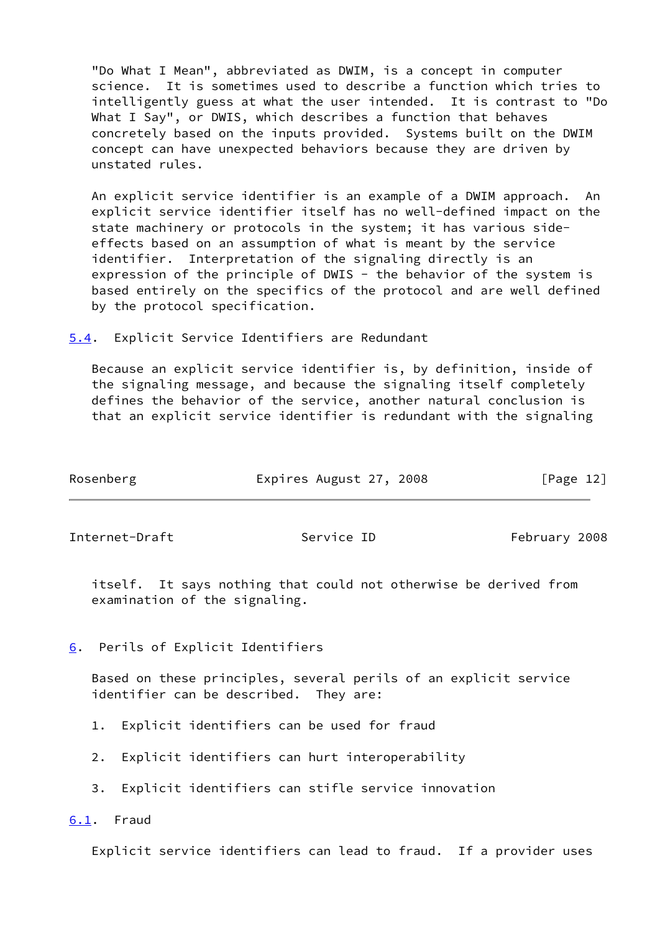"Do What I Mean", abbreviated as DWIM, is a concept in computer science. It is sometimes used to describe a function which tries to intelligently guess at what the user intended. It is contrast to "Do What I Say", or DWIS, which describes a function that behaves concretely based on the inputs provided. Systems built on the DWIM concept can have unexpected behaviors because they are driven by unstated rules.

 An explicit service identifier is an example of a DWIM approach. An explicit service identifier itself has no well-defined impact on the state machinery or protocols in the system; it has various side effects based on an assumption of what is meant by the service identifier. Interpretation of the signaling directly is an expression of the principle of DWIS - the behavior of the system is based entirely on the specifics of the protocol and are well defined by the protocol specification.

<span id="page-13-0"></span>[5.4](#page-13-0). Explicit Service Identifiers are Redundant

 Because an explicit service identifier is, by definition, inside of the signaling message, and because the signaling itself completely defines the behavior of the service, another natural conclusion is that an explicit service identifier is redundant with the signaling

<span id="page-13-2"></span>

| Rosenberg      | Expires August 27, 2008 | [Page 12]     |
|----------------|-------------------------|---------------|
| Internet-Draft | Service ID              | February 2008 |

 itself. It says nothing that could not otherwise be derived from examination of the signaling.

<span id="page-13-1"></span>[6](#page-13-1). Perils of Explicit Identifiers

 Based on these principles, several perils of an explicit service identifier can be described. They are:

- 1. Explicit identifiers can be used for fraud
- 2. Explicit identifiers can hurt interoperability
- 3. Explicit identifiers can stifle service innovation

<span id="page-13-3"></span>[6.1](#page-13-3). Fraud

Explicit service identifiers can lead to fraud. If a provider uses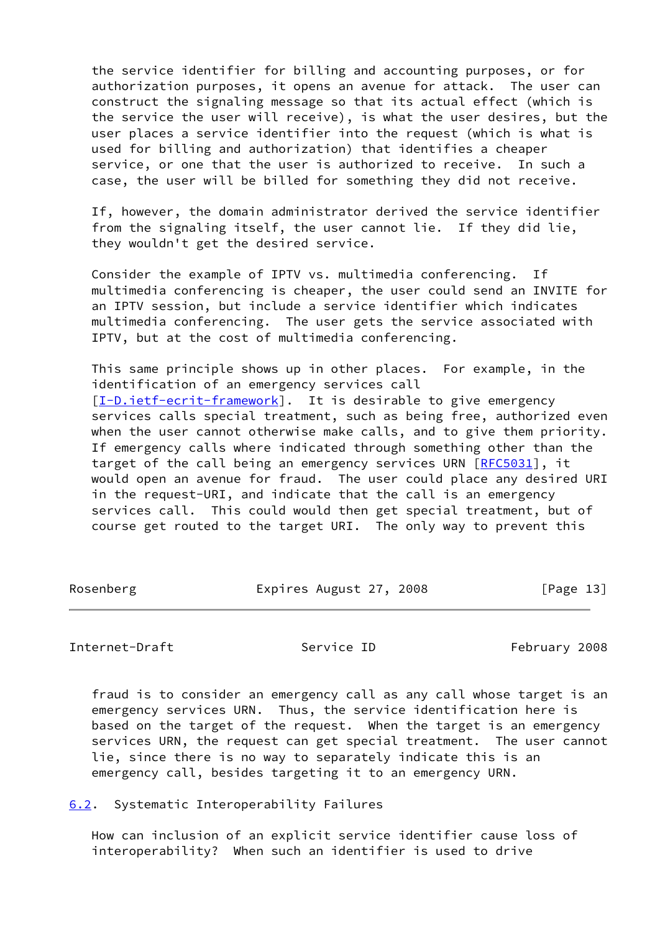the service identifier for billing and accounting purposes, or for authorization purposes, it opens an avenue for attack. The user can construct the signaling message so that its actual effect (which is the service the user will receive), is what the user desires, but the user places a service identifier into the request (which is what is used for billing and authorization) that identifies a cheaper service, or one that the user is authorized to receive. In such a case, the user will be billed for something they did not receive.

 If, however, the domain administrator derived the service identifier from the signaling itself, the user cannot lie. If they did lie, they wouldn't get the desired service.

 Consider the example of IPTV vs. multimedia conferencing. If multimedia conferencing is cheaper, the user could send an INVITE for an IPTV session, but include a service identifier which indicates multimedia conferencing. The user gets the service associated with IPTV, but at the cost of multimedia conferencing.

 This same principle shows up in other places. For example, in the identification of an emergency services call [\[I-D.ietf-ecrit-framework](#page-19-2)]. It is desirable to give emergency services calls special treatment, such as being free, authorized even when the user cannot otherwise make calls, and to give them priority. If emergency calls where indicated through something other than the target of the call being an emergency services URN [[RFC5031\]](https://datatracker.ietf.org/doc/pdf/rfc5031), it would open an avenue for fraud. The user could place any desired URI in the request-URI, and indicate that the call is an emergency services call. This could would then get special treatment, but of course get routed to the target URI. The only way to prevent this

Rosenberg Expires August 27, 2008 [Page 13]

<span id="page-14-1"></span>Internet-Draft Service ID February 2008

 fraud is to consider an emergency call as any call whose target is an emergency services URN. Thus, the service identification here is based on the target of the request. When the target is an emergency services URN, the request can get special treatment. The user cannot lie, since there is no way to separately indicate this is an emergency call, besides targeting it to an emergency URN.

<span id="page-14-0"></span>[6.2](#page-14-0). Systematic Interoperability Failures

 How can inclusion of an explicit service identifier cause loss of interoperability? When such an identifier is used to drive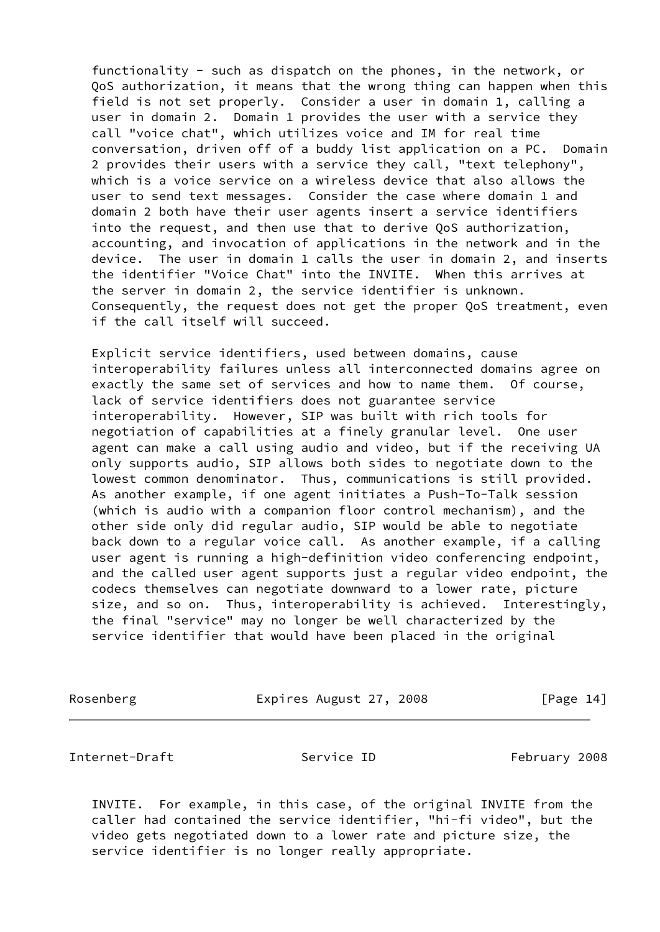functionality - such as dispatch on the phones, in the network, or QoS authorization, it means that the wrong thing can happen when this field is not set properly. Consider a user in domain 1, calling a user in domain 2. Domain 1 provides the user with a service they call "voice chat", which utilizes voice and IM for real time conversation, driven off of a buddy list application on a PC. Domain 2 provides their users with a service they call, "text telephony", which is a voice service on a wireless device that also allows the user to send text messages. Consider the case where domain 1 and domain 2 both have their user agents insert a service identifiers into the request, and then use that to derive QoS authorization, accounting, and invocation of applications in the network and in the device. The user in domain 1 calls the user in domain 2, and inserts the identifier "Voice Chat" into the INVITE. When this arrives at the server in domain 2, the service identifier is unknown. Consequently, the request does not get the proper QoS treatment, even if the call itself will succeed.

 Explicit service identifiers, used between domains, cause interoperability failures unless all interconnected domains agree on exactly the same set of services and how to name them. Of course, lack of service identifiers does not guarantee service interoperability. However, SIP was built with rich tools for negotiation of capabilities at a finely granular level. One user agent can make a call using audio and video, but if the receiving UA only supports audio, SIP allows both sides to negotiate down to the lowest common denominator. Thus, communications is still provided. As another example, if one agent initiates a Push-To-Talk session (which is audio with a companion floor control mechanism), and the other side only did regular audio, SIP would be able to negotiate back down to a regular voice call. As another example, if a calling user agent is running a high-definition video conferencing endpoint, and the called user agent supports just a regular video endpoint, the codecs themselves can negotiate downward to a lower rate, picture size, and so on. Thus, interoperability is achieved. Interestingly, the final "service" may no longer be well characterized by the service identifier that would have been placed in the original

Rosenberg Expires August 27, 2008 [Page 14]

<span id="page-15-0"></span>Internet-Draft Service ID February 2008

 INVITE. For example, in this case, of the original INVITE from the caller had contained the service identifier, "hi-fi video", but the video gets negotiated down to a lower rate and picture size, the service identifier is no longer really appropriate.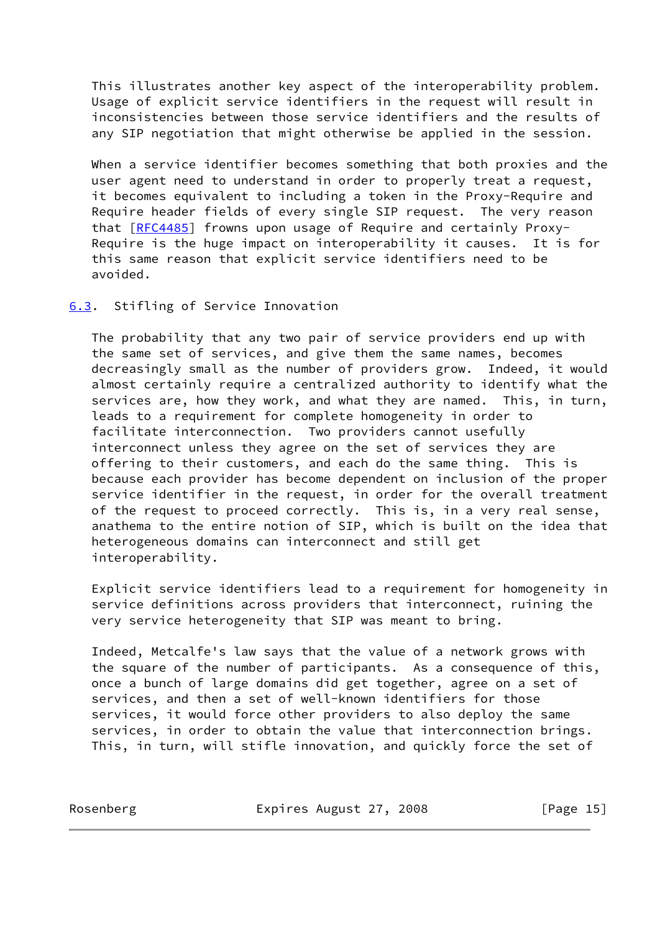This illustrates another key aspect of the interoperability problem. Usage of explicit service identifiers in the request will result in inconsistencies between those service identifiers and the results of any SIP negotiation that might otherwise be applied in the session.

 When a service identifier becomes something that both proxies and the user agent need to understand in order to properly treat a request, it becomes equivalent to including a token in the Proxy-Require and Require header fields of every single SIP request. The very reason that [\[RFC4485](https://datatracker.ietf.org/doc/pdf/rfc4485)] frowns upon usage of Require and certainly Proxy- Require is the huge impact on interoperability it causes. It is for this same reason that explicit service identifiers need to be avoided.

### <span id="page-16-0"></span>[6.3](#page-16-0). Stifling of Service Innovation

 The probability that any two pair of service providers end up with the same set of services, and give them the same names, becomes decreasingly small as the number of providers grow. Indeed, it would almost certainly require a centralized authority to identify what the services are, how they work, and what they are named. This, in turn, leads to a requirement for complete homogeneity in order to facilitate interconnection. Two providers cannot usefully interconnect unless they agree on the set of services they are offering to their customers, and each do the same thing. This is because each provider has become dependent on inclusion of the proper service identifier in the request, in order for the overall treatment of the request to proceed correctly. This is, in a very real sense, anathema to the entire notion of SIP, which is built on the idea that heterogeneous domains can interconnect and still get interoperability.

 Explicit service identifiers lead to a requirement for homogeneity in service definitions across providers that interconnect, ruining the very service heterogeneity that SIP was meant to bring.

 Indeed, Metcalfe's law says that the value of a network grows with the square of the number of participants. As a consequence of this, once a bunch of large domains did get together, agree on a set of services, and then a set of well-known identifiers for those services, it would force other providers to also deploy the same services, in order to obtain the value that interconnection brings. This, in turn, will stifle innovation, and quickly force the set of

Rosenberg Expires August 27, 2008 [Page 15]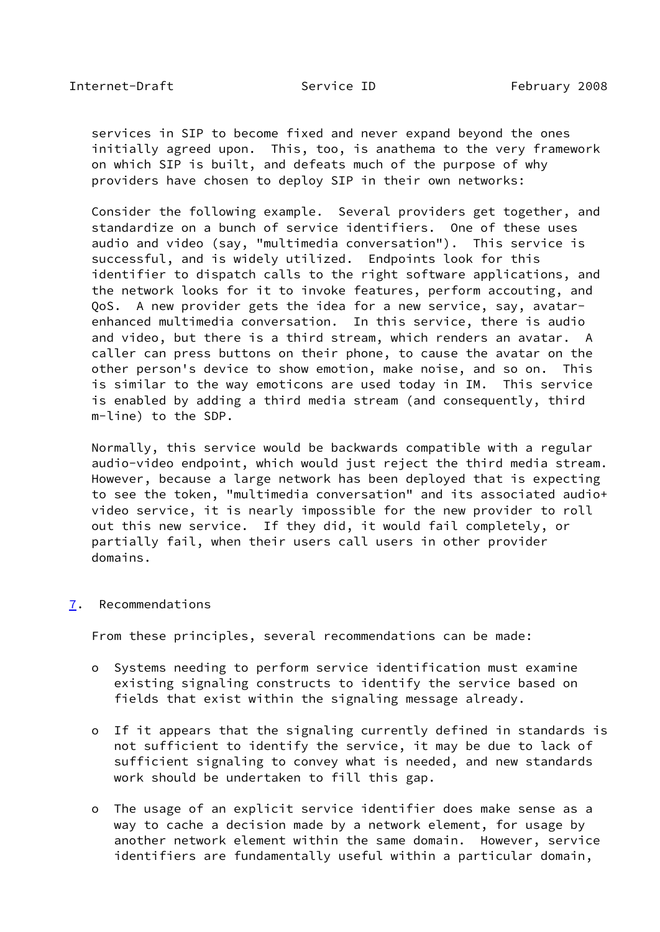<span id="page-17-1"></span> services in SIP to become fixed and never expand beyond the ones initially agreed upon. This, too, is anathema to the very framework on which SIP is built, and defeats much of the purpose of why providers have chosen to deploy SIP in their own networks:

 Consider the following example. Several providers get together, and standardize on a bunch of service identifiers. One of these uses audio and video (say, "multimedia conversation"). This service is successful, and is widely utilized. Endpoints look for this identifier to dispatch calls to the right software applications, and the network looks for it to invoke features, perform accouting, and QoS. A new provider gets the idea for a new service, say, avatar enhanced multimedia conversation. In this service, there is audio and video, but there is a third stream, which renders an avatar. A caller can press buttons on their phone, to cause the avatar on the other person's device to show emotion, make noise, and so on. This is similar to the way emoticons are used today in IM. This service is enabled by adding a third media stream (and consequently, third m-line) to the SDP.

 Normally, this service would be backwards compatible with a regular audio-video endpoint, which would just reject the third media stream. However, because a large network has been deployed that is expecting to see the token, "multimedia conversation" and its associated audio+ video service, it is nearly impossible for the new provider to roll out this new service. If they did, it would fail completely, or partially fail, when their users call users in other provider domains.

### <span id="page-17-0"></span>[7](#page-17-0). Recommendations

From these principles, several recommendations can be made:

- o Systems needing to perform service identification must examine existing signaling constructs to identify the service based on fields that exist within the signaling message already.
- o If it appears that the signaling currently defined in standards is not sufficient to identify the service, it may be due to lack of sufficient signaling to convey what is needed, and new standards work should be undertaken to fill this gap.
- o The usage of an explicit service identifier does make sense as a way to cache a decision made by a network element, for usage by another network element within the same domain. However, service identifiers are fundamentally useful within a particular domain,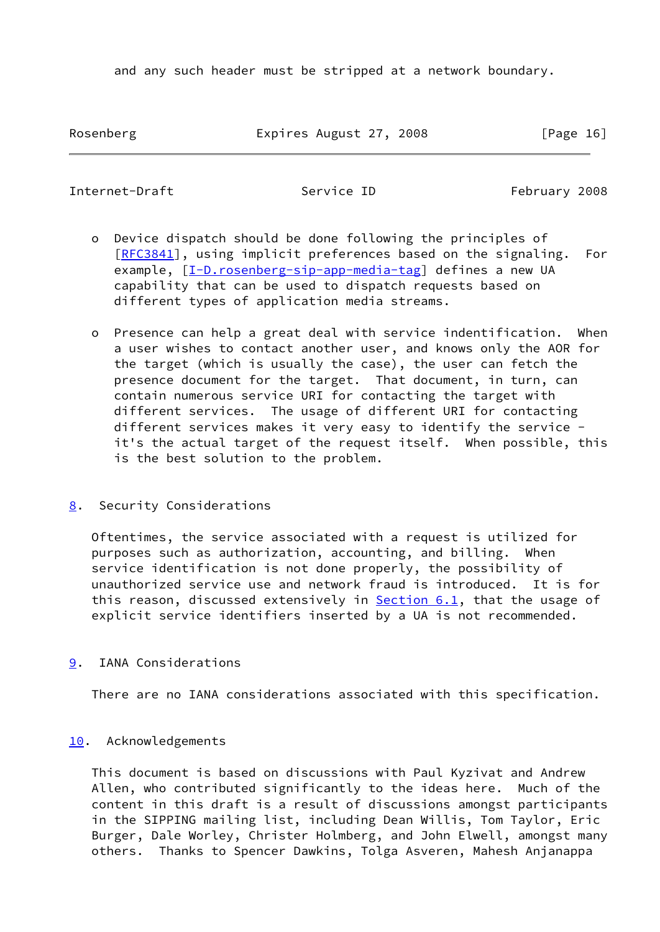and any such header must be stripped at a network boundary.

Rosenberg Expires August 27, 2008 [Page 16]

<span id="page-18-1"></span>Internet-Draft Service ID February 2008

- o Device dispatch should be done following the principles of [[RFC3841\]](https://datatracker.ietf.org/doc/pdf/rfc3841), using implicit preferences based on the signaling. For example,  $[I-D.rosenberg-sip-app-media-tag]$  $[I-D.rosenberg-sip-app-media-tag]$  defines a new UA capability that can be used to dispatch requests based on different types of application media streams.
- o Presence can help a great deal with service indentification. When a user wishes to contact another user, and knows only the AOR for the target (which is usually the case), the user can fetch the presence document for the target. That document, in turn, can contain numerous service URI for contacting the target with different services. The usage of different URI for contacting different services makes it very easy to identify the service it's the actual target of the request itself. When possible, this is the best solution to the problem.
- <span id="page-18-0"></span>[8](#page-18-0). Security Considerations

 Oftentimes, the service associated with a request is utilized for purposes such as authorization, accounting, and billing. When service identification is not done properly, the possibility of unauthorized service use and network fraud is introduced. It is for this reason, discussed extensively in **Section 6.1**, that the usage of explicit service identifiers inserted by a UA is not recommended.

<span id="page-18-2"></span>[9](#page-18-2). IANA Considerations

There are no IANA considerations associated with this specification.

## <span id="page-18-3"></span>[10.](#page-18-3) Acknowledgements

 This document is based on discussions with Paul Kyzivat and Andrew Allen, who contributed significantly to the ideas here. Much of the content in this draft is a result of discussions amongst participants in the SIPPING mailing list, including Dean Willis, Tom Taylor, Eric Burger, Dale Worley, Christer Holmberg, and John Elwell, amongst many others. Thanks to Spencer Dawkins, Tolga Asveren, Mahesh Anjanappa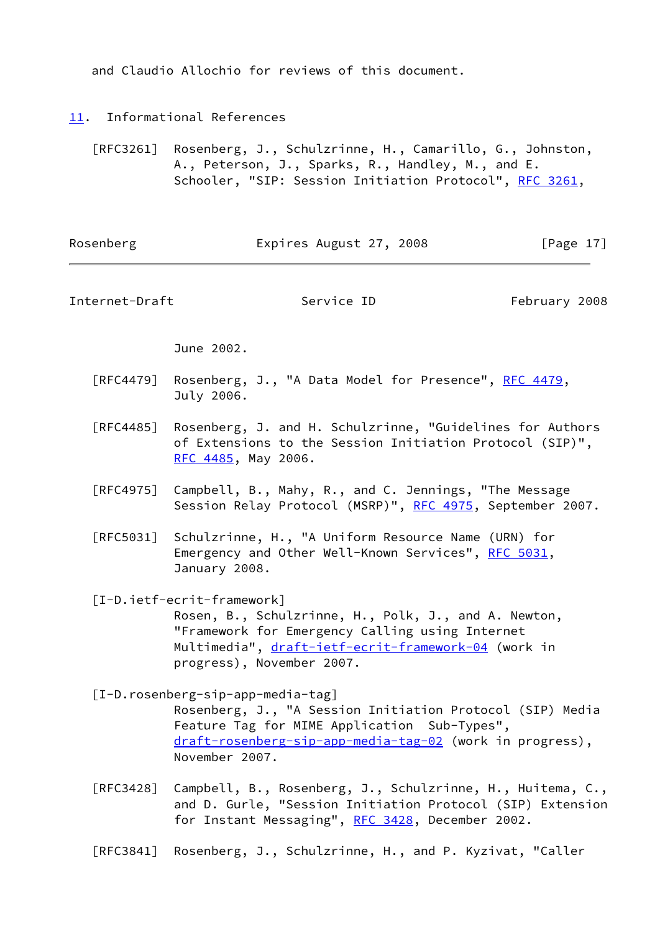and Claudio Allochio for reviews of this document.

- <span id="page-19-0"></span>[11.](#page-19-0) Informational References
	- [RFC3261] Rosenberg, J., Schulzrinne, H., Camarillo, G., Johnston, A., Peterson, J., Sparks, R., Handley, M., and E. Schooler, "SIP: Session Initiation Protocol", [RFC 3261](https://datatracker.ietf.org/doc/pdf/rfc3261),

<span id="page-19-1"></span>

| Rosenberg      | Expires August 27, 2008                                                                                                                                                                                                        | [Page $17$ ]  |  |
|----------------|--------------------------------------------------------------------------------------------------------------------------------------------------------------------------------------------------------------------------------|---------------|--|
| Internet-Draft | Service ID                                                                                                                                                                                                                     | February 2008 |  |
|                | June 2002.                                                                                                                                                                                                                     |               |  |
| [RFC4479]      | Rosenberg, J., "A Data Model for Presence", RFC 4479,<br>July 2006.                                                                                                                                                            |               |  |
| [RFC4485]      | Rosenberg, J. and H. Schulzrinne, "Guidelines for Authors<br>of Extensions to the Session Initiation Protocol (SIP)",<br>RFC 4485, May 2006.                                                                                   |               |  |
| [RFC4975]      | Campbell, B., Mahy, R., and C. Jennings, "The Message<br>Session Relay Protocol (MSRP)", RFC 4975, September 2007.                                                                                                             |               |  |
|                | [RFC5031] Schulzrinne, H., "A Uniform Resource Name (URN) for<br>Emergency and Other Well-Known Services", RFC 5031,<br>January 2008.                                                                                          |               |  |
|                | [I-D.ietf-ecrit-framework]<br>Rosen, B., Schulzrinne, H., Polk, J., and A. Newton,<br>"Framework for Emergency Calling using Internet<br>Multimedia", draft-ietf-ecrit-framework-04 (work in<br>progress), November 2007.      |               |  |
|                | $[I-D. rosenberg-sip-app-media-tag]$<br>Rosenberg, J., "A Session Initiation Protocol (SIP) Media<br>Feature Tag for MIME Application Sub-Types"<br>draft-rosenberg-sip-app-media-tag-02 (work in progress),<br>November 2007. |               |  |
| [RFC3428]      | Campbell, B., Rosenberg, J., Schulzrinne, H., Huitema, C.,<br>and D. Gurle, "Session Initiation Protocol (SIP) Extension<br>for Instant Messaging", RFC 3428, December 2002.                                                   |               |  |

<span id="page-19-3"></span><span id="page-19-2"></span>[RFC3841] Rosenberg, J., Schulzrinne, H., and P. Kyzivat, "Caller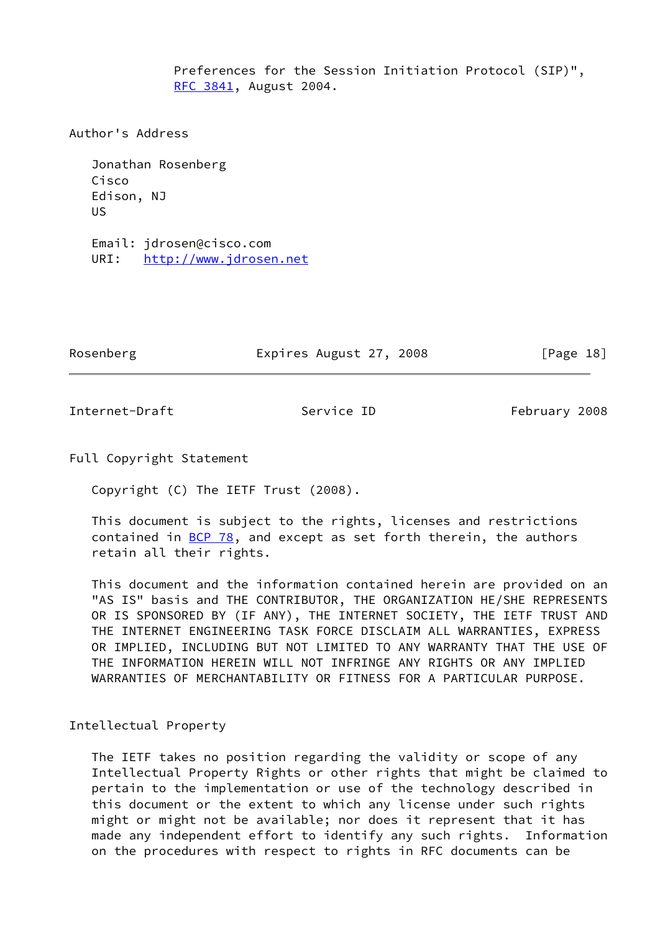Preferences for the Session Initiation Protocol (SIP)", [RFC 3841,](https://datatracker.ietf.org/doc/pdf/rfc3841) August 2004.

Author's Address

 Jonathan Rosenberg Cisco Edison, NJ US

 Email: jdrosen@cisco.com URI: <http://www.jdrosen.net>

Rosenberg Expires August 27, 2008 [Page 18]

<span id="page-20-0"></span>Internet-Draft Service ID February 2008

Full Copyright Statement

Copyright (C) The IETF Trust (2008).

 This document is subject to the rights, licenses and restrictions contained in  $BCP$  78, and except as set forth therein, the authors retain all their rights.

 This document and the information contained herein are provided on an "AS IS" basis and THE CONTRIBUTOR, THE ORGANIZATION HE/SHE REPRESENTS OR IS SPONSORED BY (IF ANY), THE INTERNET SOCIETY, THE IETF TRUST AND THE INTERNET ENGINEERING TASK FORCE DISCLAIM ALL WARRANTIES, EXPRESS OR IMPLIED, INCLUDING BUT NOT LIMITED TO ANY WARRANTY THAT THE USE OF THE INFORMATION HEREIN WILL NOT INFRINGE ANY RIGHTS OR ANY IMPLIED WARRANTIES OF MERCHANTABILITY OR FITNESS FOR A PARTICULAR PURPOSE.

Intellectual Property

 The IETF takes no position regarding the validity or scope of any Intellectual Property Rights or other rights that might be claimed to pertain to the implementation or use of the technology described in this document or the extent to which any license under such rights might or might not be available; nor does it represent that it has made any independent effort to identify any such rights. Information on the procedures with respect to rights in RFC documents can be